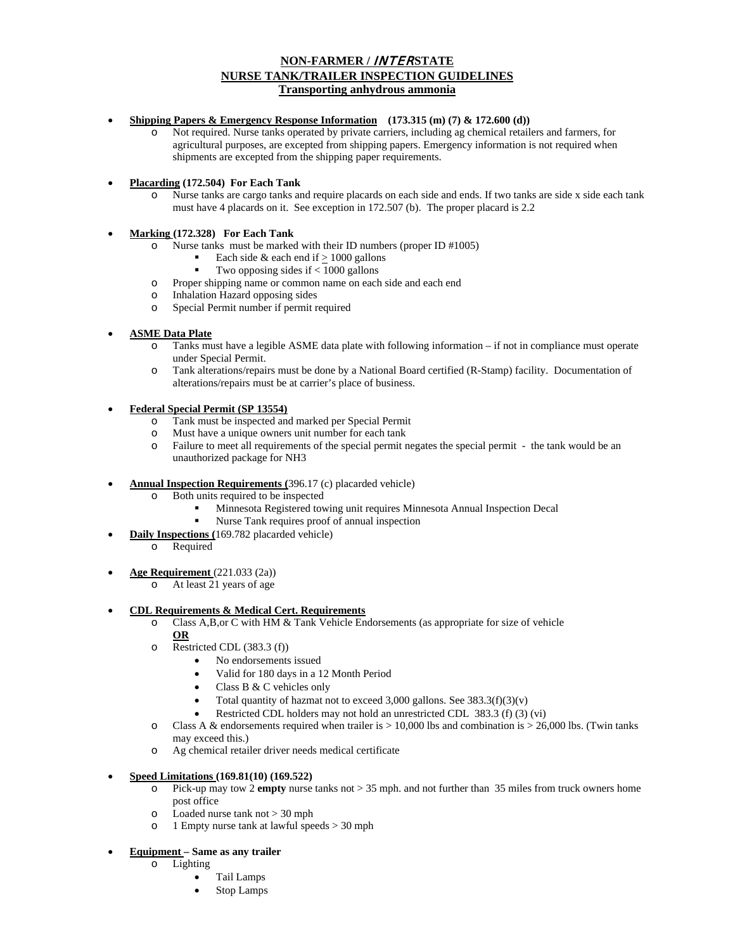# **NON-FARMER /** INTER**STATE NURSE TANK/TRAILER INSPECTION GUIDELINES Transporting anhydrous ammonia**

#### • **Shipping Papers & Emergency Response Information (173.315 (m) (7) & 172.600 (d))**

- o Not required. Nurse tanks operated by private carriers, including ag chemical retailers and farmers, for agricultural purposes, are excepted from shipping papers. Emergency information is not required when shipments are excepted from the shipping paper requirements.
- **Placarding (172.504) For Each Tank** 
	- Nurse tanks are cargo tanks and require placards on each side and ends. If two tanks are side x side each tank must have 4 placards on it. See exception in 172.507 (b). The proper placard is 2.2

### • **Marking (172.328) For Each Tank**

- o Nurse tanks must be marked with their ID numbers (proper ID #1005)
	- Each side & each end if  $\geq 1000$  gallons
	- Two opposing sides if < 1000 gallons
- o Proper shipping name or common name on each side and each end
- o Inhalation Hazard opposing sides
- o Special Permit number if permit required

## • **ASME Data Plate**

- o Tanks must have a legible ASME data plate with following information if not in compliance must operate under Special Permit.
- o Tank alterations/repairs must be done by a National Board certified (R-Stamp) facility. Documentation of alterations/repairs must be at carrier's place of business.

## • **Federal Special Permit (SP 13554)**

- o Tank must be inspected and marked per Special Permit
- o Must have a unique owners unit number for each tank
- o Failure to meet all requirements of the special permit negates the special permit the tank would be an unauthorized package for NH3
- **Annual Inspection Requirements (**396.17 (c) placarded vehicle)
	- o Both units required to be inspected
		- Minnesota Registered towing unit requires Minnesota Annual Inspection Decal
			- Nurse Tank requires proof of annual inspection
- **Daily Inspections (**169.782 placarded vehicle)
	- o Required
- **Age Requirement** (221.033 (2a))
	- o At least 21 years of age

### • **CDL Requirements & Medical Cert. Requirements**

o Class A,B,or C with HM & Tank Vehicle Endorsements (as appropriate for size of vehicle

### **OR**

- o Restricted CDL (383.3 (f))
	- No endorsements issued
	- Valid for 180 days in a 12 Month Period
	- Class B & C vehicles only
	- Total quantity of hazmat not to exceed 3,000 gallons. See  $383.3(f)(3)(v)$
	- Restricted CDL holders may not hold an unrestricted CDL 383.3 (f) (3) (vi)
- $\circ$  Class A & endorsements required when trailer is  $> 10,000$  lbs and combination is  $> 26,000$  lbs. (Twin tanks may exceed this.)
- o Ag chemical retailer driver needs medical certificate

### • **Speed Limitations (169.81(10) (169.522)**

- o Pick-up may tow 2 **empty** nurse tanks not > 35 mph. and not further than 35 miles from truck owners home post office
- o Loaded nurse tank not > 30 mph
- o 1 Empty nurse tank at lawful speeds > 30 mph

### • **Equipment – Same as any trailer**

- o Lighting
	- Tail Lamps
	- Stop Lamps